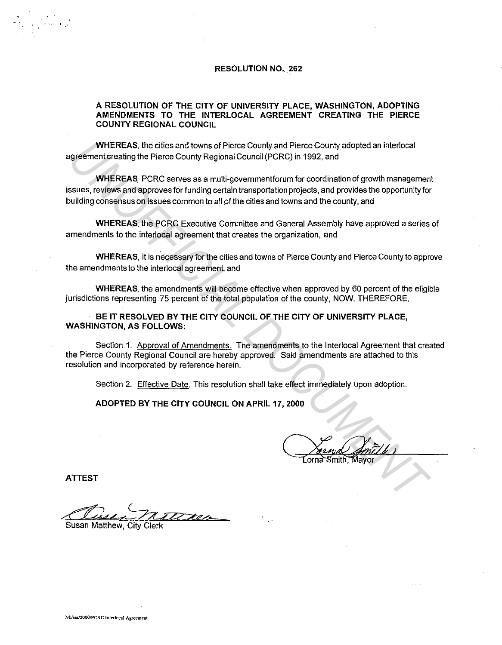## **RESOLUTION NO. 262**

## **A RESOLUTION OF THE CITY OF UNIVERSITY PLACE, WASHINGTON, ADOPTING AMENDMENTS TO THE INTERLOCAL AGREEMENT CREATING THE PIERCE COUNTY REGIONAL COUNCIL**

**WHEREAS,** the cities and towns of Pierce County and Pierce County adopted an interlocal agreement creating the Pierce County Regional Council (PCRC) in 1992, and

**WHEREAS,** PCRC serves as a multi-governmentforum for coordination of growth management issues, reviews and approves for funding certain transportation projects, and provides the opportunity for building consensus on issues common to all of the cities and towns and the county, and WHEREAS, the cities and towns of Pierce County and Pierce County adopted an interlocal<br>greenent creating the Pierce County Regional Council (PCRC) in 1992, and<br>when REAS, PCRC serves as a multi-government from to rocordina

**WHEREAS,** the PCRC Executive Committee and General Assembly have approved a series of amendments to the interlocal agreement that creates the organization, and

**WHEREAS,** it is necessary for the cities and towns of Pierce County and Pierce County to approve the amendments to the interlocal agreement, and

**WHEREAS,** the amendments will become effective when approved by 60 percent of the eligible jurisdictions representing 75 percent of the total population of the county, NOW, THEREFORE,

**BE IT RESOLVED BY THE CITY COUNCIL OF THE CITY OF UNIVERSITY PLACE, WASHINGTON, AS FOLLOWS:** 

Section 1. Approval of Amendments. The amendments to the lnterlocal Agreement that created the Pierce County Regional Council are hereby approved. Said amendments are attached to this resolution and incorporated by reference herein.

Section 2. Effective Date. This resolution shall take effect immediately upon adoption.

**ADOPTED BY THE CITY COUNCIL ON APRIL 17, 2000** 

r---v 2000<br>Coma Smith, Mayor  $\frac{1}{2}$  mille )

**ATTEST** 

**Collection** City Clerk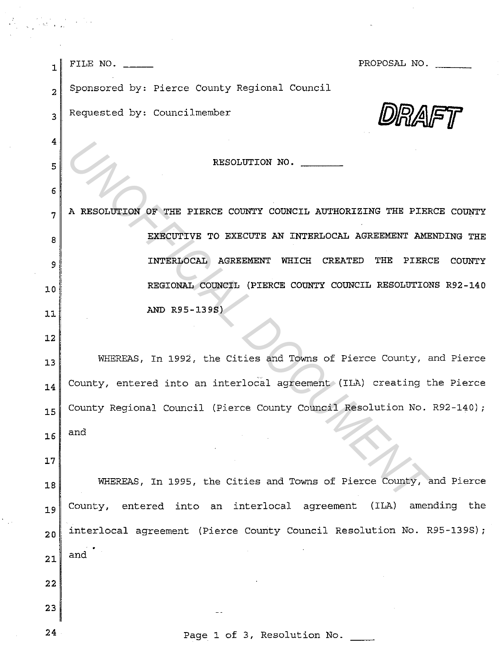| $\mathbf{1}$   | PROPOSAL NO.<br>FILE NO. $\frac{1}{1}$                                  |
|----------------|-------------------------------------------------------------------------|
| $\overline{a}$ | Sponsored by: Pierce County Regional Council                            |
| 3              | Requested by: Councilmember                                             |
| $\overline{4}$ |                                                                         |
| 5              | RESOLUTION NO.                                                          |
| 6              |                                                                         |
| 7              | A RESOLUTION OF THE PIERCE COUNTY COUNCIL AUTHORIZING THE PIERCE COUNTY |
| 8              | EXECUTIVE TO EXECUTE AN INTERLOCAL AGREEMENT AMENDING THE               |
| 9              | INTERLOCAL AGREEMENT WHICH CREATED THE PIERCE<br>COUNTY                 |
| 10             | REGIONAL COUNCIL (PIERCE COUNTY COUNCIL RESOLUTIONS R92-140             |
| 11             | AND R95-139S)                                                           |
| 12             |                                                                         |
| 13             | WHEREAS, In 1992, the Cities and Towns of Pierce County, and Pierce     |
| 14             | County, entered into an interlocal agreement (ILA) creating the Pierce  |
| 15             | County Regional Council (Pierce County Council Resolution No. R92-140); |
| 16             | and                                                                     |
| 17             |                                                                         |
| 18             | WHEREAS, In 1995, the Cities and Towns of Pierce County, and Pierce     |
| 19             | County, entered into an interlocal agreement (ILA) amending the         |
| 20             | interlocal agreement (Pierce County Council Resolution No. R95-139S);   |
| 21             | and                                                                     |
| 22             |                                                                         |
| 23             |                                                                         |
|                |                                                                         |

 $\frac{1}{2} \left( \frac{1}{2} \right)$ 

24 Page 1 of 3, Resolution No.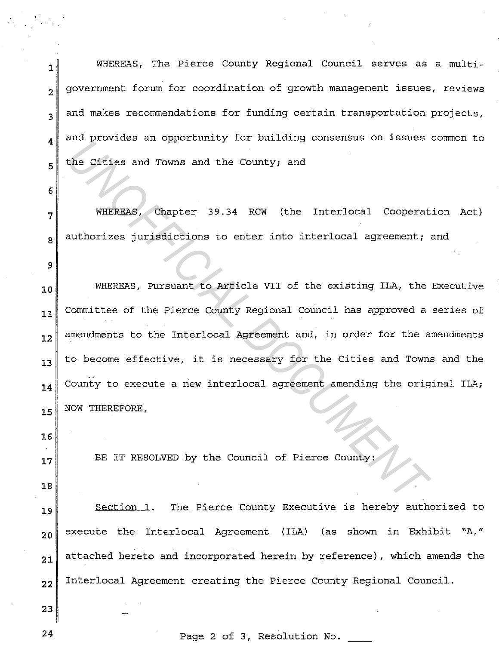1 **B** WHEREAS, The Pierce County Regional Council serves as a multi- $_{2}$  government forum for coordination of growth management issues, reviews  $_3$  and makes recommendations for funding certain transportation projects,  $_4$  and provides an opportunity for building consensus on issues common to 5<sup>the Cities and Towns and the County; and</sup>

**<sup>7</sup>**WHEREAS, Chapter 39.34 RCW (the Interlocal Cooperation Act)  $8$  authorizes jurisdictions to enter into interlocal agreement; and

10 WHEREAS, Pursuant to Article VII of the existing ILA, the Executive **<sup>11</sup>**Committee of the Pierce County Regional Council has approved a series of 12<sup>d</sup> amendments to the Interlocal Agreement and, in order for the amendments **<sup>13</sup>**to become effective, it is necessary for the Cities and Towns and the  $_{\bf 14}$  County to execute a new interlocal agreement amending the original ILA; 15 NOW THEREFORE, *Und Extracted an opportunity for burning concernsed on found*<br>the Cities and Towns and the County; and<br>WHERRAS, Chapter 39.34 RCW (the Interlocal Cooperat<br>authorizes jurisdictions to enter into interlocal agreement;<br>WHERR

17 BE IT RESOLVED by the Council of Pierce County:

**18** 

**16** 

6

9

19 Section 1. The Pierce County Executive is hereby authorized to 20<sup>execute the Interlocal Agreement (ILA) (as shown in Exhibit "A,"</sup>  $_{21}$  attached hereto and incorporated herein by reference), which amends the 22 Interlocal Agreement creating the Pierce County Regional Council.

24 **Page 2 of 3, Resolution No.** 

**23**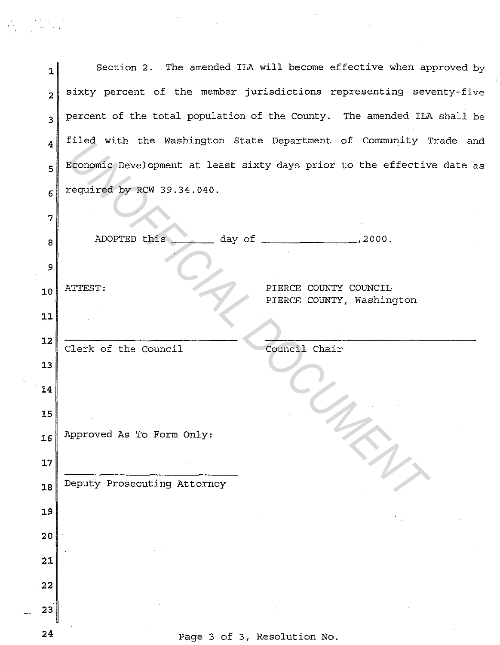| 1                       | Section 2. The amended ILA will become effective when approved by       |                                                    |
|-------------------------|-------------------------------------------------------------------------|----------------------------------------------------|
| $\overline{\mathbf{z}}$ | sixty percent of the member jurisdictions representing seventy-five     |                                                    |
| $\overline{\mathbf{3}}$ | percent of the total population of the County. The amended ILA shall be |                                                    |
| $\overline{4}$          | filed with the Washington State Department of Community Trade and       |                                                    |
| 5                       | Economic Development at least sixty days prior to the effective date as |                                                    |
| $\epsilon$              | required by RCW 39.34.040.                                              |                                                    |
| 7                       |                                                                         |                                                    |
| 8                       | ADOPTED this<br>day of $\frac{1}{2000}$ , 2000.                         |                                                    |
| 9                       |                                                                         |                                                    |
| 10                      | ATTEST:                                                                 | PIERCE COUNTY COUNCIL<br>PIERCE COUNTY, Washington |
| $11$                    |                                                                         |                                                    |
| 12                      | Clerk of the Council<br>Council Chair                                   |                                                    |
| 13                      |                                                                         |                                                    |
| 14                      |                                                                         |                                                    |
| 15                      |                                                                         |                                                    |
| 16                      | Approved As To Form Only:                                               |                                                    |
| 17                      |                                                                         |                                                    |
| 18                      | Deputy Prosecuting Attorney                                             |                                                    |
| 19                      |                                                                         |                                                    |
| 20                      |                                                                         |                                                    |
| 21                      |                                                                         |                                                    |
| 22                      |                                                                         |                                                    |
| 23                      |                                                                         |                                                    |
|                         |                                                                         |                                                    |

 $\frac{1}{2}$  ,  $\frac{1}{2}$ 

 $\mathcal{L}^{\text{max}}_{\text{max}}$ 

 $\frac{1}{3}$ 

 $\label{eq:2.1} \frac{1}{\sqrt{2}}\sum_{i=1}^n\frac{1}{\sqrt{2}}\sum_{i=1}^n\frac{1}{\sqrt{2}}\sum_{i=1}^n\frac{1}{\sqrt{2}}\sum_{i=1}^n\frac{1}{\sqrt{2}}\sum_{i=1}^n\frac{1}{\sqrt{2}}\sum_{i=1}^n\frac{1}{\sqrt{2}}\sum_{i=1}^n\frac{1}{\sqrt{2}}\sum_{i=1}^n\frac{1}{\sqrt{2}}\sum_{i=1}^n\frac{1}{\sqrt{2}}\sum_{i=1}^n\frac{1}{\sqrt{2}}\sum_{i=1}^n\frac$ 

 $\frac{1}{2} \frac{1}{2} \frac{1}{2}$ 

**24** Page 3 of 3, Resolution No.

 $\label{eq:R1} \begin{array}{l} \mathcal{L}_{\text{max}} = \frac{1}{2} \sum_{i=1}^{N} \frac{1}{2} \left( \frac{1}{2} \sum_{i=1}^{N} \frac{1}{2} \right) \left( \frac{1}{2} \right) \left( \frac{1}{2} \right) \left( \frac{1}{2} \right) \left( \frac{1}{2} \right) \left( \frac{1}{2} \right) \left( \frac{1}{2} \right) \left( \frac{1}{2} \right) \left( \frac{1}{2} \right) \left( \frac{1}{2} \right) \left( \frac{1}{2} \right) \left( \frac{1}{2$ 

 $\sim$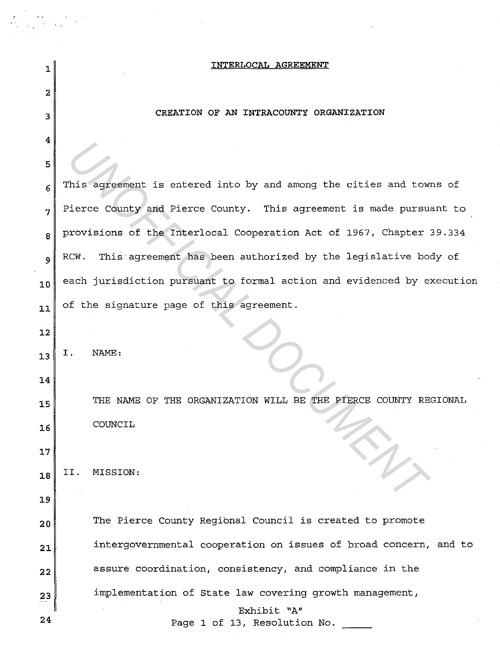| 1              | <b>INTERLOCAL AGREEMENT</b>                                            |
|----------------|------------------------------------------------------------------------|
| 2              |                                                                        |
| 3              | CREATION OF AN INTRACOUNTY ORGANIZATION                                |
| 4              |                                                                        |
| 5              |                                                                        |
| 6              | This agreement is entered into by and among the cities and towns of    |
| $\overline{7}$ | Pierce County and Pierce County. This agreement is made pursuant to    |
| 8              | provisions of the Interlocal Cooperation Act of 1967, Chapter 39.334   |
| 9              | This agreement has been authorized by the legislative body of<br>RCW.  |
| 10             | each jurisdiction pursuant to formal action and evidenced by execution |
| 11             | of the signature page of this agreement.                               |
| 12             |                                                                        |
| 13             | NAME:<br>Ι.                                                            |
| 14             |                                                                        |
| 15             | THE NAME OF THE ORGANIZATION WILL BE THE PIERCE COUNTY REGIONAL        |
| 16             | COUNCIL                                                                |
| 17             |                                                                        |
| 18             | MISSION:<br>II.                                                        |
| 19             |                                                                        |
| 20             | The Pierce County Regional Council is created to promote               |
| 21             | intergovernmental cooperation on issues of broad concern, and to       |
| 22             | assure coordination, consistency, and compliance in the                |
| 23             | implementation of State law covering growth management,                |
| 24             | Exhibit "A"                                                            |
|                | Page 1 of 13, Resolution No.                                           |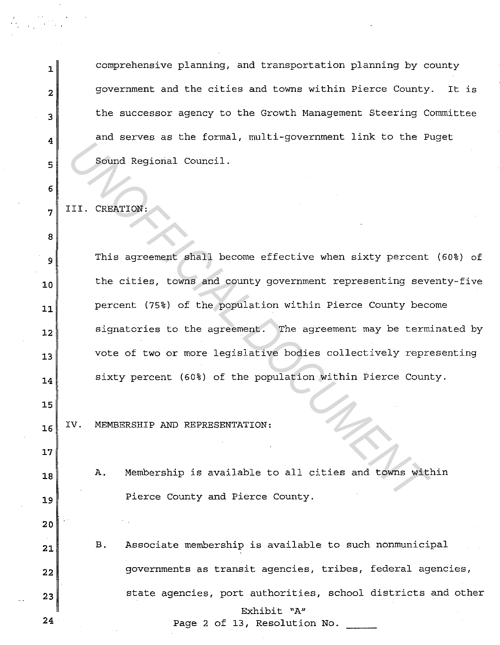1<sup>d</sup> 1<sup>d</sup> comprehensive planning, and transportation planning by county **2**government and the cities and towns within Pierce County. It is 3 the successor agency to the Growth Management Steering Committee  $\mathbf{A}$  and serves as the formal, multi-government link to the Puget 5 Sound Regional Council.

**<sup>7</sup>**III. CREATION:

6

**8** 

**15** 

**17** 

**20** 

<sup>9</sup>This agreement shall become effective when sixty percent (60%) of 10<sup>the cities, towns and county government representing seventy-five</sup> 11<sup>d</sup> Percent (75%) of the population within Pierce County become 12 signatories to the agreement. The agreement may be terminated by 13<sup>*v*</sup> vote of two or more legislative bodies collectively representing 14 sixty percent (60%) of the population within Pierce County. FICITE 2 In The Sound Regional Council.<br>
III. CREATION:<br>
This agreement shall become effective when sixty percent<br>
the cities, towns and county government representing sevent<br>
percent (75%) of the population within Pierce

16<sup>UV.</sup> MEMBERSHIP AND REPRESENTATION:

**<sup>18</sup>**A. Membership is available to all cities and towns within 19<sup>*pierce County and Pierce County.*</sup>

**<sup>21</sup>**B. Associate membership is available to such nonmunicipal 22 governments as transit agencies, tribes, federal agencies, 23<sup>dec</sup>aragnees, port authorities, school districts and other Exhibit "A" **24** Page 2 of 13, Resolution No.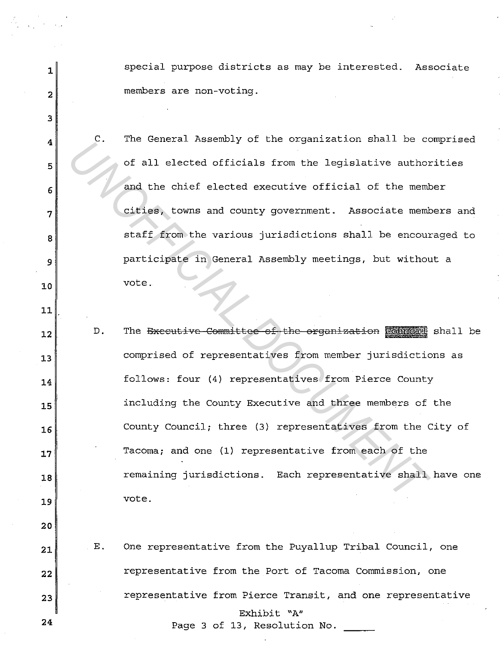1special purpose districts as may be interested. Associate **2** members are non-voting. **3 4 C.** The General Assembly of the organization shall be comprised 5<sup>or 1</sup>of all elected officials from the legislative authorities  $6$  and the chief elected executive official of the member **7** cities, towns and county government. Associate members and  $\begin{array}{c|c|c|c|c|c} \mathbf{s} & \text{start from the various jurisdictions shall be encouraged to} \end{array}$ <sup>9</sup>participate in General Assembly meetings, but without a **10** vote. **11**  12<sup>0</sup>D. The Executive Committee of the organization Counce S shall be 13 comprised of representatives from member jurisdictions as 14 follows: four (4) representatives from Pierce County **<sup>15</sup>**including the County Executive and three members of the 16 County Council; three (3) representatives from the City of **17** Tacoma; and one (1) representative from each of the 18<sup>*18*</sup> **18** remaining jurisdictions. Each representative shall have one **<sup>19</sup>**vote. **20 <sup>21</sup>**E. One representative from the Puyallup Tribal Council, one 22<sup>*meresentative from the Port of Tacoma Commission, one*</sup> 23<sup>*representative from Pierce Transit, and one representative*</sup> In the central Assembly of the organization shall be controlled and the chief elected executive official of the members of the central assembly meetings, but without be encouragating in General Assembly meetings, but witho

Exhibit "A"

**24** Page 3 of 13, Resolution No.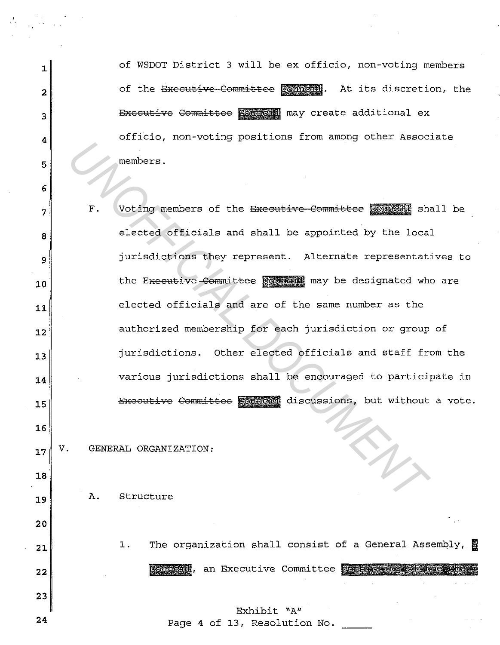1 of WSDOT District 3 will be ex officio, non-voting members **2** of the Exceutive Committee Connects. At its discretion, the 3 Bxecutive Committee **pounded** may create additional ex **4** officio, non-voting positions from among other Associate **5** 

**7 1** F. Voting members of the Executive Committee sounders shall be  $8$  elected officials and shall be appointed by the local **<sup>9</sup>**jurisdictions they represent. Alternate representatives to 10<sup>the Executive Committee **sounded** may be designated who are</sup> 11 elected officials and are of the same number as the 12<sup>d</sup> authorized membership for each jurisdiction or group of **<sup>13</sup>**jurisdictions. Other elected officials and staff from the  $14$  various jurisdictions shall be encouraged to participate in 15 Executive Committee **Comment discussions**, but without a vote. *UNOFFICIAL DOCUMENT*

17 V. GENERAL ORGANIZATION:

**6** 

**16** 

**18** 

**20** 

**23** 

**<sup>19</sup>**A. Structure

21<sup>1</sup> 1. The organization shall consist of a General Assembly, a 22<sup></sub> **founded**, an Executive Committee consistency of the</sup>

Exhibit "A" **24** Page 4 of 13, Resolution No.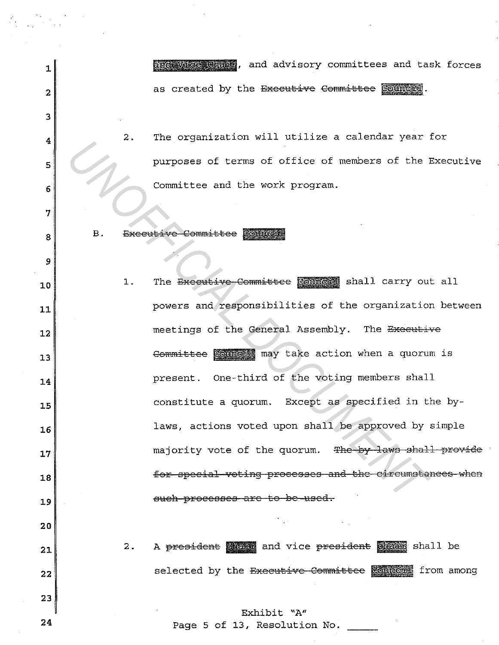1<sup>1</sup>, and advisory committees and task forces  $2$  as created by the Executive Committee  $\frac{1}{2}$  council.

**<sup>4</sup>**2. The organization will utilize a calendar year for 5<sup>p</sup> 6 Committee and the work program.

8 B. Executive Committee Council

**3** 

**7** 

9

10<sup>1.</sup> The Executive Committee **Sounced** shall carry out all 11<sup>d</sup> 11<sup>d</sup> powers and responsibilities of the organization between 12<sup>1</sup> meetings of the General Assembly. The Executive 13<sup>d</sup> 13<sup>d</sup> Committee **@outers** may take action when a quorum is 14<sup>d</sup> **14** present. One-third of the voting members shall 15 **b** constitute a quorum. Except as specified in the by-**<sup>16</sup>**laws, actions voted upon shall be approved by simple **17** majority vote of the quorum. The by laws shall provide **<sup>18</sup>**for special voting proeesses and the circumstances when 19<sup>d</sup> 19st noise and the such-processes are to be used. **20**  21<sup>2</sup>2. A president shall and vice president deals shall be **22** selected by the Executive Committee **sourced** from among **23**  Exhibit "A" 24 Page 5 of 13, Resolution No. **Example 20** consultant and the work program.<br>
B. Excellive Committee Roundary<br>
B. Excellive Committee Roundary<br>
1. The <del>Dicellive Committee</del> Roundary shall carry out<br>
powers and responsibilities of the organization<br>
meeti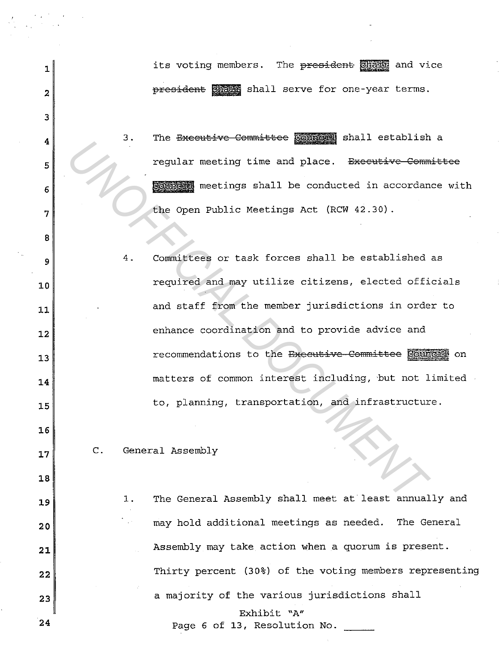| 1                | its voting members. The president chair and vice               |
|------------------|----------------------------------------------------------------|
| 2                | president anall serve for one-year terms.                      |
| 3                |                                                                |
| $\boldsymbol{4}$ | The Executive Committee Counce shall establish a<br>З.         |
| 5                | regular meeting time and place. <del>Executive Committee</del> |
| 6                | <b>Boundary</b> meetings shall be conducted in accordance with |
| 7                | the Open Public Meetings Act (RCW 42.30).                      |
| 8                |                                                                |
| 9                | Committees or task forces shall be established as<br>4.        |
| 10               | required and may utilize citizens, elected officials           |
| 11               | and staff from the member jurisdictions in order to            |
| 12               | enhance coordination and to provide advice and                 |
| 13               | recommendations to the Executive-Committee Council on          |
| 14               | matters of common interest including, but not limited          |
| 15               | to, planning, transportation, and infrastructure.              |
| 16               |                                                                |
| 17               | General Assembly<br>$\mathsf{C}$ .                             |
| 18               |                                                                |
| 19               | The General Assembly shall meet at least annually and<br>1.    |
| 20               | may hold additional meetings as needed. The General<br>in an   |
| 21               | Assembly may take action when a quorum is present.             |
| 22               | Thirty percent (30%) of the voting members representing        |
| 23               | a majority of the various jurisdictions shall                  |
| 24               | Exhibit "A"<br>Page 6 of 13, Resolution No.                    |

 $\frac{1}{2} \left( \frac{1}{2} \mathbf{v} \right)^2$ 

 $\begin{array}{l} \left(\begin{array}{cc} \mathbf{y} & \mathbf{y} \\ \mathbf{y} & \mathbf{y} \end{array}\right) & \left(\begin{array}{cc} \mathbf{y} & \mathbf{y} \\ \mathbf{y} & \mathbf{y} \end{array}\right) & \left(\begin{array}{cc} \mathbf{y} & \mathbf{y} \\ \mathbf{y} & \mathbf{y} \end{array}\right) \\ \left(\begin{array}{cc} \mathbf{y} & \mathbf{y} \\ \mathbf{y} & \mathbf{y} \end{array}\right) & \left(\begin{array}{cc} \mathbf{y} & \mathbf{y} \\ \mathbf{y} & \mathbf{y} \$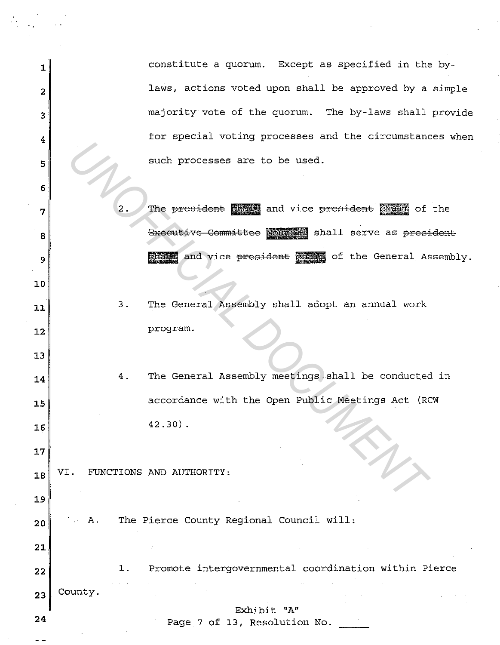1 **1 constitute a quorum.** Except as specified in the by-2 alaws, actions voted upon shall be approved by a simple  $3$  majority vote of the quorum. The by-laws shall provide  $4<sup>o</sup>$  for special voting processes and the circumstances when 5 such processes are to be used.

**7** 2. The president @ and vice president @ and vice president and  $\frac{1}{2}$  of the 8 Bxecutive Committee Council shall serve as president eneral Assembly. The Grain and vice president of the General Assembly.

**<sup>11</sup>**3. The General Assembly shall adopt an annual work **12program.** 

14 4. The General Assembly meetings shall be conducted in 15 accordance with the Open Public Meetings Act (RCW  $16$  42.30). **EXECUTE THE SECTION OF THE SECTION OF THE SECTION OF THE SECTION OF THE CONTRACT OF THE CONTRACT OF THE CONTRACT OF THE CONTRACT OF THE CONTRACT OF THE CONTRACT OF THE CONTRACT OF THE CONTRACT OF THE CONTRACT OF THE CONTR** 

18<sup>VI.</sup> FUNCTIONS AND AUTHORITY:

6

**10** 

13

**17** 

**19** 

**21** 

20<sup>dec</sup>h 1. The Pierce County Regional Council will:

**<sup>22</sup>**1. Promote intergovernmental coordination within Pierce

 $23$ <sup>county.</sup>

Exhibit "A"

**24** Page 7 of 13, Resolution No.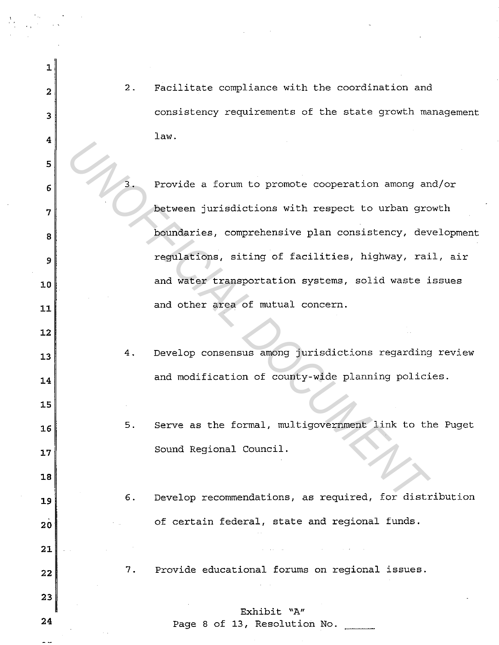2<sup>2</sup> 2. Facilitate compliance with the coordination and 3 consistency requirements of the state growth management **1 1 1 1 1 1 1 1 1**  3. Provide a forum to promote cooperation among and/or **between** jurisdictions with respect to urban growth **boundaries, comprehensive plan consistency, development** regulations, siting of facilities, highway, rail, air 10 and water transportation systems, solid waste issues 11<sup>d</sup> and other area of mutual concern. 4. Develop consensus among jurisdictions regarding review 14<sup>d</sup> 14<sup>d</sup> and modification of county-wide planning policies. 5. Serve as the formal, multigovernment link to the Puget Sound Regional Council. 19<sup>0</sup>6. Develop recommendations, as required, for distribution 20<sup>of</sup> certain federal, state and regional funds. 22<sup>1</sup> 7. Provide educational forums on regional issues. Exhibit "A" Page 8 of 13, Resolution No. Frovide a forum to promote cooperation among an<br>
between jurisdictions with respect to urban gro<br>
boundaries, comprehensive plan consistency, dev<br>
regulations, siting of facilities, highway, rai<br>
and water transportation s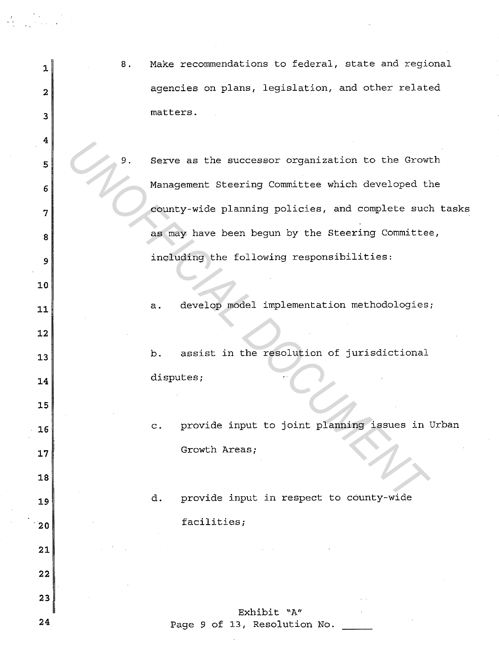| 1  | 8. | Make recommendations to federal, state and regional               |
|----|----|-------------------------------------------------------------------|
| 2  |    | agencies on plans, legislation, and other related                 |
| 3  |    | matters.                                                          |
| 4  |    |                                                                   |
| 5  | 9. | Serve as the successor organization to the Growth                 |
| 6  |    | Management Steering Committee which developed the                 |
| 7  |    | county-wide planning policies, and complete such tasks            |
| 8  |    | as may have been begun by the Steering Committee,                 |
| 9  |    | including the following responsibilities:                         |
| 10 |    |                                                                   |
| 11 |    | develop model implementation methodologies;<br>a.                 |
| 12 |    |                                                                   |
| 13 |    | assist in the resolution of jurisdictional<br>b.                  |
| 14 |    | disputes;                                                         |
| 15 |    |                                                                   |
| 16 |    | provide input to joint planning issues in Urban<br>$\mathbf{C}$ . |
| 17 |    | Growth Areas;                                                     |
| 18 |    |                                                                   |
| 19 |    | provide input in respect to county-wide<br>d.                     |
| 20 |    | facilities;                                                       |
| 21 |    |                                                                   |
| 22 |    |                                                                   |
| 23 |    |                                                                   |
| 24 |    | Exhibit "A"<br>Page 9 of 13, Resolution No.                       |

 $\sigma_{\rm{max}}$ 

 $\label{eq:2} \begin{array}{l} \mathcal{F}_{\mathcal{G}}(x) = \frac{1}{2} \mathcal{F}_{\mathcal{G}}(x) \left( \begin{array}{cc} x & x \\ x & x \end{array} \right) \, ,$  where  $\mathcal{F}_{\mathcal{G}}(x)$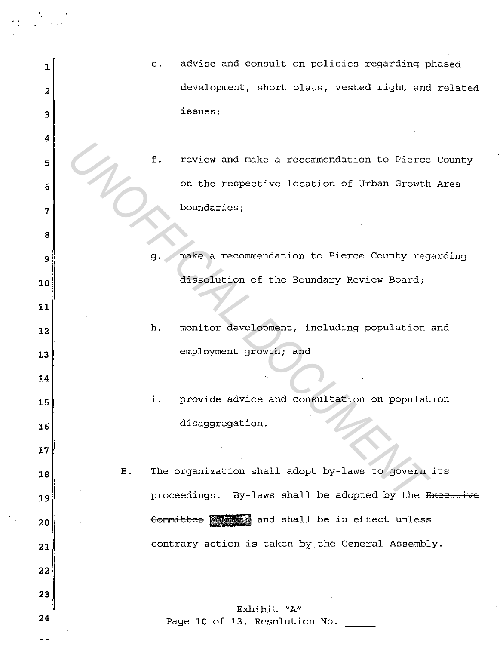| 1  |           | е. | advise and consult on policies regarding phased        |
|----|-----------|----|--------------------------------------------------------|
| 2  |           |    | development, short plats, vested right and related     |
| 3  |           |    | issues;                                                |
| 4  |           |    |                                                        |
|    |           | f. | review and make a recommendation to Pierce County      |
| 5  |           |    |                                                        |
| 6  |           |    | on the respective location of Urban Growth Area        |
| 7  |           |    | boundaries;                                            |
| 8  |           |    |                                                        |
|    |           |    |                                                        |
| 9  |           | g. | make a recommendation to Pierce County regarding       |
| 10 |           |    | dissolution of the Boundary Review Board;              |
| 11 |           |    |                                                        |
| 12 |           | h. | monitor development, including population and          |
|    |           |    |                                                        |
| 13 |           |    | employment growth; and                                 |
| 14 |           |    |                                                        |
| 15 |           | i. | provide advice and consultation on population          |
| 16 |           |    | disaggregation.                                        |
| 17 |           |    |                                                        |
| 18 | <b>B.</b> |    | The organization shall adopt by-laws to govern its     |
|    |           |    |                                                        |
| 19 |           |    | proceedings. By-laws shall be adopted by the Executive |
| 20 |           |    | Committee condens and shall be in effect unless        |
| 21 |           |    | contrary action is taken by the General Assembly.      |
| 22 |           |    |                                                        |
| 23 |           |    |                                                        |
|    |           |    | Exhibit "A"                                            |
| 24 |           |    | Page 10 of 13, Resolution No.                          |

 $- -$ 

 $\langle \Sigma_{\rm{max}} \rangle$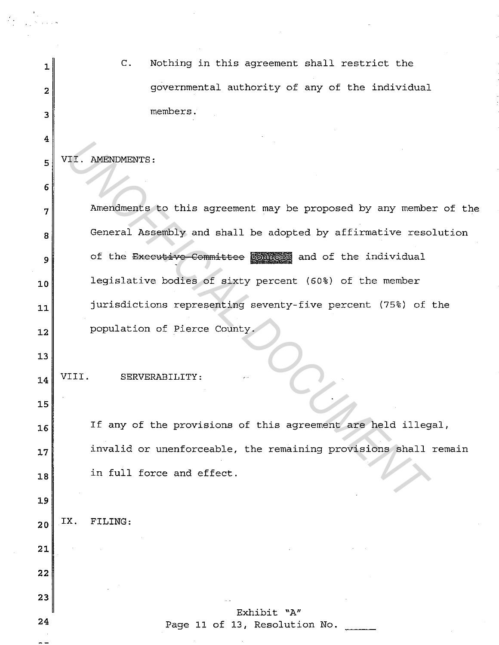| 1                       | $\mathbf{C}$ .<br>Nothing in this agreement shall restrict the    |
|-------------------------|-------------------------------------------------------------------|
| $\overline{\mathbf{2}}$ | governmental authority of any of the individual                   |
| 3                       | members.                                                          |
| 4                       |                                                                   |
| 5                       | VII. AMENDMENTS:                                                  |
| 6                       |                                                                   |
| 7                       | Amendments to this agreement may be proposed by any member of the |
| 8                       | General Assembly and shall be adopted by affirmative resolution   |
| 9                       | of the Executive Committee <b>Comment</b> and of the individual   |
| 10                      | legislative bodies of sixty percent (60%) of the member           |
| 11                      | jurisdictions representing seventy-five percent (75%) of the      |
| 12                      | population of Pierce County.                                      |
| 13                      |                                                                   |
| 14                      | SERVERABILITY:                                                    |
| 15                      |                                                                   |
| 16                      | If any of the provisions of this agreement are held illegal,      |
| 17                      | invalid or unenforceable, the remaining provisions shall remain   |
| 18                      | in full force and effect.                                         |
| 19                      |                                                                   |
| 20                      | IX.<br>FILING:                                                    |
| 21                      |                                                                   |
| 22                      |                                                                   |
| 23                      |                                                                   |
| 24                      | Exhibit "A"<br>Page 11 of 13, Resolution No.                      |
|                         |                                                                   |

 $\label{eq:2} \frac{1}{2} \sum_{i=1}^n \frac{1}{2} \sum_{j=1}^n \frac{1}{2} \sum_{j=1}^n \frac{1}{2} \sum_{j=1}^n \frac{1}{2} \sum_{j=1}^n \frac{1}{2} \sum_{j=1}^n \frac{1}{2} \sum_{j=1}^n \frac{1}{2} \sum_{j=1}^n \frac{1}{2} \sum_{j=1}^n \frac{1}{2} \sum_{j=1}^n \frac{1}{2} \sum_{j=1}^n \frac{1}{2} \sum_{j=1}^n \frac{1}{2} \sum_{j=1}^n \frac{1}{$ 

 $\label{eq:2} \begin{split} \mathcal{L}_{\text{max}} &= \frac{2}{\sqrt{2}} \mathcal{L}_{\text{max}} \\ \mathcal{L}_{\text{max}} &= \frac{2}{\sqrt{2}} \mathcal{L}_{\text{max}} + \mathcal{L}_{\text{max}} \\ \mathcal{L}_{\text{max}} &= \frac{2}{\sqrt{2}} \mathcal{L}_{\text{max}} + \mathcal{L}_{\text{max}} \\ \mathcal{L}_{\text{max}} &= \frac{2}{\sqrt{2}} \mathcal{L}_{\text{max}} + \mathcal{L}_{\text{max}} \\ \mathcal{L}_{\text{max}} &= \frac{2}{\sqrt{2}} \mathcal{L}_{\text{max}} + \math$ 

 $\frac{1}{2}$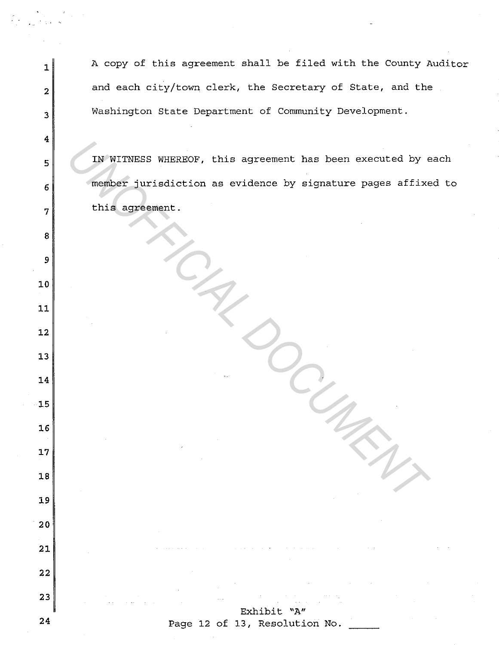1 A copy of this agreement shall be filed with the County Auditor 2<sup>d</sup>and each city/town clerk, the Secretary of State, and the 3 Washington State Department of Community Development. IN WITNESS WHEREOF, this agreement has been executed by each **6** member jurisdiction as evidence by signature pages affixed to **1**this agreement. Exhibit "A" Page 12 of 13, Resolution No. IN WITNESS WHEREOF, this agreement has been executed by experience jurisdiction as evidence by signature pages affixed this agreement.